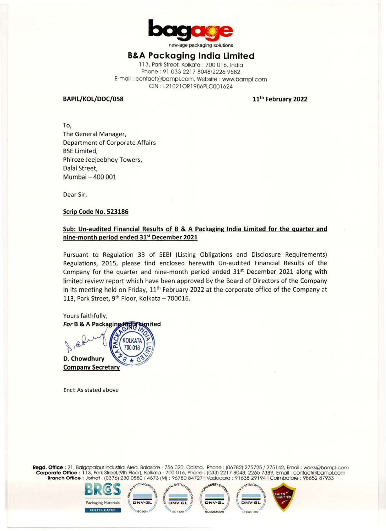

new-age packaging solutions

# **B&A Packaging India Limited**

113, Pork Street, Kolkoto : 700 016, Indio Phone: 91 033 2217 8048/2226 9582 E-mail : contoct@bompl.com, Website : www.bompl.com CIN : L21021 ORl 986PLC001624

#### **BAPIL/KOL/DDC/058**

**11th February 2022** 

To, The General Manager, Department of Corporate Affairs BSE Limited, Phiroze Jeejeebhoy Towers, Dalal Street, Mumbai - 400 001

Dear Sir,

#### **Scrip Code No. 523186**

#### **Sub: Un-audited Financial Results of B** & **A Packaging India Limited for the quarter and nine-month period ended 31st December 2021**

Pursuant to Regulation 33 of SEBI (Listing Obligations and Disclosure Requirements) Regulations, 2015, please find enclosed herewith Un-audited Financial Results of the Company for the quarter and nine-month period ended  $31<sup>st</sup>$  December 2021 along with limited review report which have been approved by the Board of Directors of the Company in its meeting held on Friday,  $11<sup>th</sup>$  February 2022 at the corporate office of the Company at 113, Park Street,  $9^{th}$  Floor, Kolkata - 700016.



Encl: As stated above

**Regd. Office :** 21, Bolgopalpur Industrial Area, Balasore - 756 020, Odlsha, Phone : (06782) 275725 / 275142, Email : works@bampl.com **Corporate Office :** 113, Park Street,(9th Floor), Kolkata - 700 016, Phone : (033) 2217 8048, 2265 7389, Email : contact@bampl.com **Branch Office :** Jorhat : (0376) 230 0580 / 4673 (M) : 96780 84727 I Vadodara: 91638 29194 I Coimbatore : 98652 87933

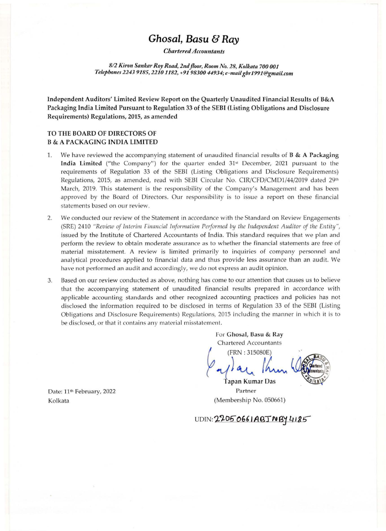# *Ghosal, Basu* **& Ray**

*Chartered Accountants* 

*812 Kiron Sankar Roy Road, 2nd floor, R oom No. 28, Kolkata 700 001 Telephones 2243 9185, 22101182, +919830044934;e-mailgbr199J@gmail.com* 

Independent Auditors' Limited Review Report on the Q uarterly Unaudited Financial Results of B&A Packaging India Limited Pursuant to Regulation 33 of the SEBI (Listing Obligations and Disclosure Requirements) Regulations, 2015, as amended

### **TO THE BOARD OF DIRECTORS OF B** & **A PACKAGING INDIA LIMITED**

- 1. We have reviewed the accompanying statement of unaudited financial results of **B & A Packaging India Limited** ("the Company") for the quarter ended 31<sup>st</sup> December, 2021 pursuant to the requirements of Regulation 33 of the SEBI (Listing Obligations and Disclosure Requirements) Regulations, 2015, as amended, read with SEBI Circular No. CIR/CFD/CMD1/44/2019 dated 29th March, 2019. This statement is the responsibility of the Company's Management and has been approved by the Board of Directors. Our responsibility is to issue a report on these financial statements based on our review.
- 2. We conducted our review of the Statement in accordance with the Standard on Review Engagements (SRE) 2410 *"Review of Interim Financial Information Performed by the Independent Auditor of the Entity"*, issued by the Institute of Chartered Accountants of India. This standard requires that we plan and perform the review to obtain moderate assurance as to whether the financial statements are free of material misstatement. A review is limited primarily to inquiries of company personnel and analytical procedures applied to financial data and thus provide less assurance than an audit. We have not performed an audit and accordingly, we do not express an audit opinion.
- 3. Based on our review conducted as above, nothing has come to our attention that causes us to believe that the accompanying statement of unaudited financial results prepared in accordance with applicable accounting standards and other recognized accounting practices and policies has not disclosed the information required to be disclosed in terms of Regulation 33 of the SEBI (Listing Obligations and Disclosure Requirements) Regulations, 2015 including the manner in which it is to be disclosed, or that it contains any material misstatement.

For **Ghosal, Basu** & **Ray**  Chartered Accountants

~ **(FRN** : **315080E)**  *~!. ~*



*...............*<br>| *Ann* Partner (Membership No. 050661)

Date: 11<sup>th</sup> February, 2022 Kolkata

UDIN: 22050661ABJNBY4185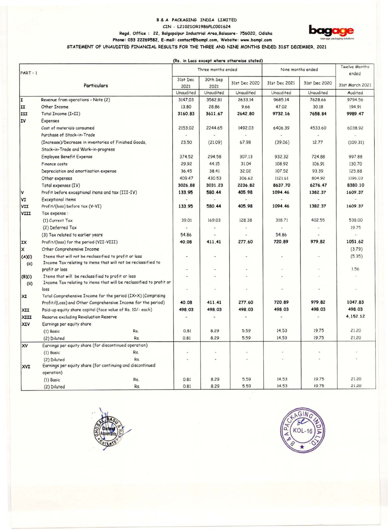# **B & A PACKAGING INDIA LIMITED** CIN - L21021OR1986PLC001624 **Ragd. Office : 22. Balgopalpur Industrial Area,Balasore- 756020, Odisha <b>bagage and an allegation** Christian Arca,Balasore- 756020, Odisha **phone: 033 22269582, E-mail: contact@bampl.com**, Website: www.bampl.com ---------STATEMENT OF UNAUDITED **FINANCIAL** RESULTS FOR THE THREE AND NINE MONTHS ENDED 31ST DECEMBER. 2021



| $PART - 1$ |                                                                      | Three months ended |                  |               | Nine months ended |               | Twelve Months<br>ended |  |
|------------|----------------------------------------------------------------------|--------------------|------------------|---------------|-------------------|---------------|------------------------|--|
|            | Particulars                                                          | 31st Dec<br>2021   | 30th Sep<br>2021 | 31st Dec 2020 | 31st Dec 2021     | 31st Dec 2020 | 31st March 2021        |  |
|            |                                                                      | Unaudited          | Unaudited        | Unaudited     | Unaudited         | Unaudited     | Audited                |  |
| I          | Revenue from operations - Note (2)                                   | 3147.03            | 3582.81          | 2633.14       | 9685.14           | 7628.66       | 9794.56                |  |
| ΙI         | Other Income                                                         | 13.80              | 28.86            | 9.66          | 47.02             | 30.18         | 194.91                 |  |
| III        | Total Income (I+II)                                                  | 3160.83            | 3611.67          | 2642.80       | 9732.16           | 7658.84       | 9989.47                |  |
| II۷        | Expenses                                                             |                    |                  |               |                   |               |                        |  |
|            | Cost of materials consumed                                           | 2153.02            | 2244.65          | 1492.03       | 6406.39           | 4533.60       | 6038.92                |  |
|            | Purchase of Stock-in-Trade                                           |                    |                  |               |                   |               |                        |  |
|            | (Increase)/Decrease in inventories of Finished Goods,                | 23.50              | (21.09)          | 67.98         | (39.06)           | 12.77         | (109.31)               |  |
|            | Stock-in-Trade and Work-in-progress                                  |                    |                  |               |                   |               |                        |  |
|            | <b>Employee Benefit Expense</b>                                      | 374.52             | 294.58           | 307.13        | 932.32            | 724.88        | 997.88                 |  |
|            | Finance costs                                                        | 29.92              | 44.15            | 31.04         | 108.92            | 106.91        | 130.70                 |  |
|            | Depreciation and amortisation expense                                | 36.45              | 38.41            | 32.02         | 107.52            | 93.39         | 125.88                 |  |
|            | Other expenses                                                       | 409.47             | 430.53           | 306.62        | 1121.61           | 804.92        | 1196.03                |  |
|            | Total expenses (IV)                                                  | 3026.88            | 3031.23          | 2236.82       | 8637.70           | 6276.47       | 8380.10                |  |
| V          | Profit before exceptional items and tax (III-IV)                     | 133.95             | 580.44           | 405.98        | 1094.46           | 1382.37       | 1609.37                |  |
| VI         | Exceptional items                                                    |                    |                  |               |                   |               |                        |  |
| VII        | Profit/(loss) before tax (V-VI)                                      | 133.95             | 580.44           | 405.98        | 1094.46           | 1382.37       | 1609.37                |  |
| VIII       | Tax expense:                                                         |                    |                  |               |                   |               |                        |  |
|            | (1) Current Tax                                                      | 39.01              | 169.03           | 128.38        | 318.71            | 402.55        | 538.00                 |  |
|            | (2) Deferred Tax                                                     |                    |                  |               |                   |               | 19.75                  |  |
|            | (3) Tax related to earlier years                                     | 54.86              |                  |               | 54.86             |               |                        |  |
| IX         | Profit/(loss) for the period (VII-VIII)                              | 40.08              | 411.41           | 277.60        | 720.89            | 979.82        | 1051.62                |  |
| X          | Other Comprehensive Income                                           |                    |                  |               |                   |               | (3.79)                 |  |
| (A)(i)     | Items that will not be reclassified to profit or loss                |                    | ٠                |               |                   |               | (5.35)                 |  |
| (ii)       | Income Tax relating to items that will not be reclassified to        |                    |                  |               |                   |               |                        |  |
|            | profit or loss                                                       | $\omega$           | w.               |               |                   |               | 1.56                   |  |
| (B)(i)     | Items that will be reclassified to profit or loss                    | $\blacksquare$     | i.               |               |                   |               |                        |  |
| (ii)       | Income Tax relating to items that will be reclassified to profit or  |                    |                  |               |                   |               |                        |  |
|            | loss<br>Total Comprehensive Income for the period (IX+X) (Comprising | C)                 | ü                |               |                   |               |                        |  |
| ХI         | Profit/(Loss) and Other Comprehensive Income for the period)         | 40.08              | 411.41           | 277.60        | 720.89            | 979.82        | 1047.83                |  |
| XII        | Paid-up equity share capital (face value of Rs. 10/- each)           | 498.03             | 498.03           | 498.03        | 498.03            | 498.03        | 498.03                 |  |
| XIII       | Reserve excluding Revaluation Reserve                                |                    |                  |               |                   |               | 4, 152.12              |  |
| <b>XIV</b> | Earnings per equity share                                            |                    |                  |               |                   |               |                        |  |
|            | Rs.<br>$(1)$ Basic                                                   | 0.81               | 8.29             | 5.59          | 14.53             | 19.75         | 21.20                  |  |
|            | (2) Diluted<br>Rs.                                                   | 0.81               | 8.29             | 5.59          | 14.53             | 19.75         | 21.20                  |  |
| <b>XV</b>  | Earnings per equity share (for discontinued operation)               |                    |                  |               |                   |               |                        |  |
|            | $(1)$ Basic<br>Rs.                                                   |                    |                  |               |                   |               |                        |  |
|            | (2) Diluted<br>Rs.                                                   |                    |                  |               |                   |               |                        |  |
| <b>XVI</b> | Earnings per equity share (for continuing and discontinued           |                    |                  |               |                   |               |                        |  |
|            | operation)                                                           |                    |                  |               |                   |               |                        |  |
|            | (1) Basic<br>Rs.                                                     | 0.81               | 8.29             | 5.59          | 14.53             | 19.75         | 21.20                  |  |
|            | Rs.<br>(2) Diluted                                                   | 0.81               | 8.29             | 5.59          | 14.53             | 19.75         | 21.20                  |  |



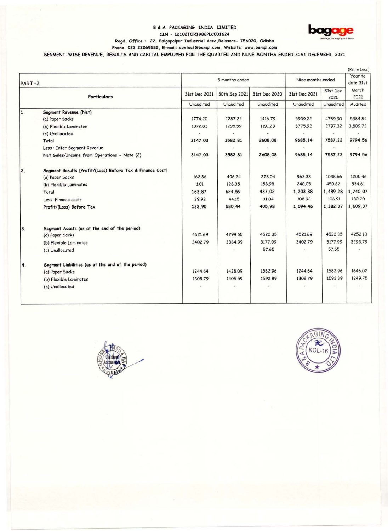#### **8** & **A PACKAGING INOIA** LIMITED CIN - L210210R1986PLC001624



#### **Rcgd.** Office : 22, Balgopalpur Industrial **Arca,Balasorc-** 756020, Odisha

**Phone :** 033 **22269582,** E-mail: contoctE'bampl.com, **Website: www.bampl.com** 

SEGMENT-WISE REVENUE. RESULTS **ANO CAPITAL** EMPLOYED FOR THE QUARTER AND NINE MONTHS ENDED 31ST DECEMBER, 2021

| PART-2 |                                                           |               | 3 months ended             | Nine months ended          |                            | (Rs. in Lacs)<br>Year to<br>date 31st |                          |
|--------|-----------------------------------------------------------|---------------|----------------------------|----------------------------|----------------------------|---------------------------------------|--------------------------|
|        | <b>Particulars</b>                                        | 31st Dec 2021 | 30th Sep 2021<br>Unaudited | 31st Dec 2020<br>Unaudited | 31st Dec 2021<br>Unaudited | 31st Dec<br>2020<br>Unaudited         | March<br>2021<br>Audited |
|        |                                                           | Unaudited     |                            |                            |                            |                                       |                          |
| 1.     | Segment Revenue (Net)                                     |               |                            |                            |                            |                                       |                          |
|        | (a) Paper Sacks                                           | 1774.20       | 2287.22                    | 1416.79                    | 5909.22                    | 4789.90                               | 5984.84                  |
|        | (b) Flexible Laminates                                    | 1372.83       | 1295.59                    | 1191.29                    | 3775.92                    | 2797.32                               | 3,809.72                 |
|        | (c) Unallocated                                           |               |                            | $\omega$                   |                            | $\omega$                              |                          |
|        | Total                                                     | 3147.03       | 3582.81                    | 2608.08                    | 9685.14                    | 7587.22                               | 9794.56                  |
|        | Less : Inter Segment Revenue                              |               | ×.                         |                            |                            |                                       |                          |
|        | Net Sales/Income from Operations - Note (2)               | 3147.03       | 3582.81                    | 2608.08                    | 9685.14                    | 7587.22                               | 9794.56                  |
| 2.     | Segment Results [Profit/(Loss) Before Tax & Finance Cost] |               |                            |                            |                            |                                       |                          |
|        | (a) Paper Sacks                                           | 162.86        | 496.24                     | 278.04                     | 963.33                     | 1038.66                               | 1205.46                  |
|        | (b) Flexible Laminates                                    | 1.01          | 128.35                     | 158.98                     | 240.05                     | 450.62                                | 534.61                   |
|        | Total                                                     | 163.87        | 624.59                     | 437.02                     | 1,203.38                   | 1,489.28                              | 1,740.07                 |
|        | Less: Finance costs                                       | 29.92         | 44.15                      | 31.04                      | 108.92                     | 106.91                                | 130.70                   |
|        | Profit/(Loss) Before Tax                                  | 133.95        | 580.44                     | 405.98                     | 1.094.46                   | 1,382.37                              | 1,609.37                 |
| 3.     | Segment Assets (as at the end of the period)              |               |                            |                            |                            |                                       |                          |
|        | (a) Paper Sacks                                           | 4521.69       | 4799.65                    | 4522.35                    | 4521.69                    | 4522.35                               | 4252.13                  |
|        | (b) Flexible Laminates                                    | 3402.79       | 3364.99                    | 3177.99                    | 3402.79                    | 3177.99                               | 3293.79                  |
|        | (c) Unallocated                                           |               |                            | 57.65                      |                            | 57.65                                 |                          |
| 4.     | Segment Liabilities (as at the end of the period)         |               |                            |                            |                            |                                       |                          |
|        | (a) Paper Sacks                                           | 1244.64       | 1428.09                    | 1582.96                    | 1244.64                    | 1582.96                               | 1646.02                  |
|        | (b) Flexible Laminates                                    | 1308.79       | 1405.59                    | 1592.89                    | 1308.79                    | 1592.89                               | 1249.75                  |
|        | (c) Unallocated                                           |               |                            |                            |                            |                                       |                          |
|        |                                                           |               |                            |                            |                            |                                       |                          |